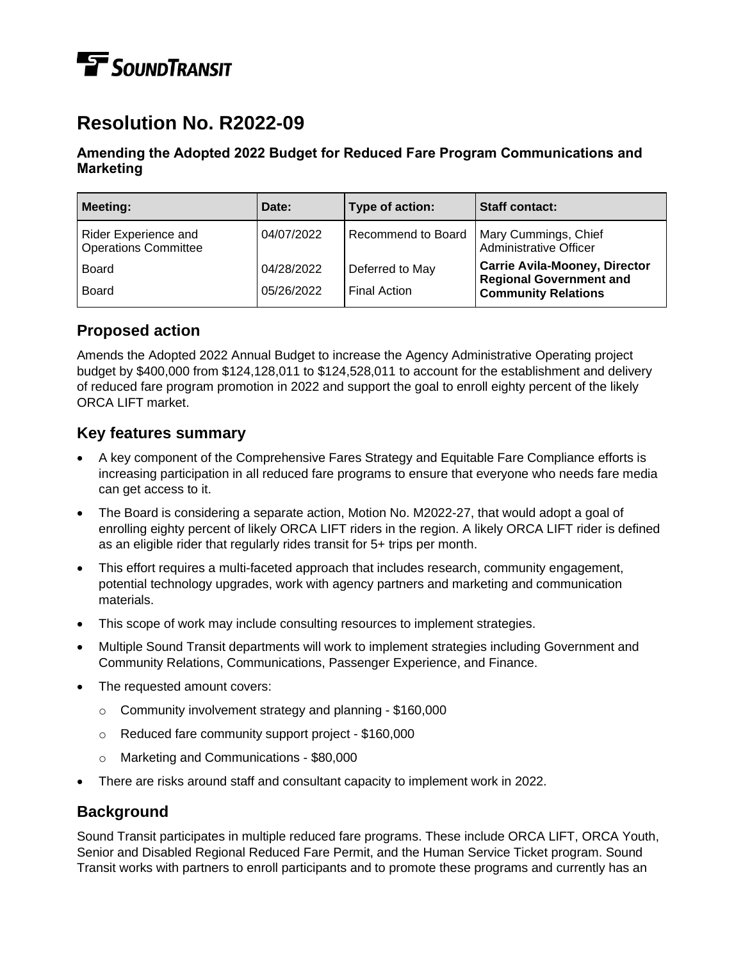# **TE** SOUNDTRANSIT

# **Resolution No. R2022-09**

#### **Amending the Adopted 2022 Budget for Reduced Fare Program Communications and Marketing**

| <b>Meeting:</b>                                     | Date:      | Type of action:     | <b>Staff contact:</b>                                                                                |
|-----------------------------------------------------|------------|---------------------|------------------------------------------------------------------------------------------------------|
| Rider Experience and<br><b>Operations Committee</b> | 04/07/2022 | Recommend to Board  | Mary Cummings, Chief<br>Administrative Officer                                                       |
| Board                                               | 04/28/2022 | Deferred to May     | <b>Carrie Avila-Mooney, Director</b><br><b>Regional Government and</b><br><b>Community Relations</b> |
| <b>Board</b>                                        | 05/26/2022 | <b>Final Action</b> |                                                                                                      |

## **Proposed action**

Amends the Adopted 2022 Annual Budget to increase the Agency Administrative Operating project budget by \$400,000 from \$124,128,011 to \$124,528,011 to account for the establishment and delivery of reduced fare program promotion in 2022 and support the goal to enroll eighty percent of the likely ORCA LIFT market.

### **Key features summary**

- A key component of the Comprehensive Fares Strategy and Equitable Fare Compliance efforts is increasing participation in all reduced fare programs to ensure that everyone who needs fare media can get access to it.
- The Board is considering a separate action, Motion No. M2022-27, that would adopt a goal of enrolling eighty percent of likely ORCA LIFT riders in the region. A likely ORCA LIFT rider is defined as an eligible rider that regularly rides transit for 5+ trips per month.
- This effort requires a multi-faceted approach that includes research, community engagement, potential technology upgrades, work with agency partners and marketing and communication materials.
- This scope of work may include consulting resources to implement strategies.
- Multiple Sound Transit departments will work to implement strategies including Government and Community Relations, Communications, Passenger Experience, and Finance.
- The requested amount covers:
	- o Community involvement strategy and planning \$160,000
	- o Reduced fare community support project \$160,000
	- o Marketing and Communications \$80,000
- There are risks around staff and consultant capacity to implement work in 2022.

### **Background**

Sound Transit participates in multiple reduced fare programs. These include ORCA LIFT, ORCA Youth, Senior and Disabled Regional Reduced Fare Permit, and the Human Service Ticket program. Sound Transit works with partners to enroll participants and to promote these programs and currently has an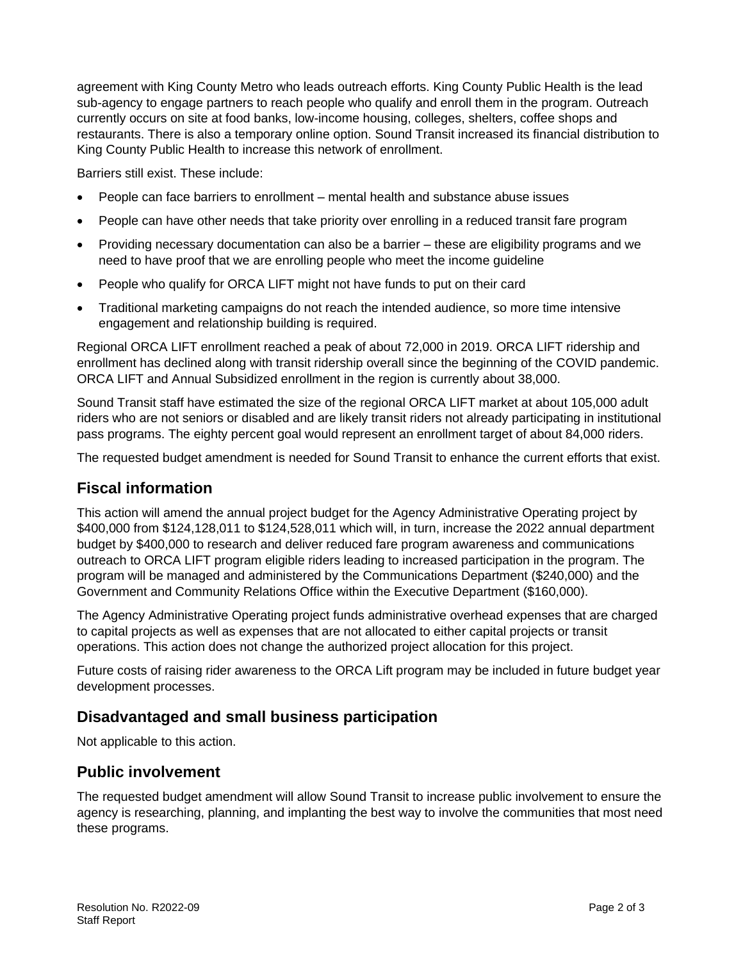agreement with King County Metro who leads outreach efforts. King County Public Health is the lead sub-agency to engage partners to reach people who qualify and enroll them in the program. Outreach currently occurs on site at food banks, low-income housing, colleges, shelters, coffee shops and restaurants. There is also a temporary online option. Sound Transit increased its financial distribution to King County Public Health to increase this network of enrollment.

Barriers still exist. These include:

- People can face barriers to enrollment mental health and substance abuse issues
- People can have other needs that take priority over enrolling in a reduced transit fare program
- Providing necessary documentation can also be a barrier these are eligibility programs and we need to have proof that we are enrolling people who meet the income guideline
- People who qualify for ORCA LIFT might not have funds to put on their card
- Traditional marketing campaigns do not reach the intended audience, so more time intensive engagement and relationship building is required.

Regional ORCA LIFT enrollment reached a peak of about 72,000 in 2019. ORCA LIFT ridership and enrollment has declined along with transit ridership overall since the beginning of the COVID pandemic. ORCA LIFT and Annual Subsidized enrollment in the region is currently about 38,000.

Sound Transit staff have estimated the size of the regional ORCA LIFT market at about 105,000 adult riders who are not seniors or disabled and are likely transit riders not already participating in institutional pass programs. The eighty percent goal would represent an enrollment target of about 84,000 riders.

The requested budget amendment is needed for Sound Transit to enhance the current efforts that exist.

#### **Fiscal information**

This action will amend the annual project budget for the Agency Administrative Operating project by \$400,000 from \$124,128,011 to \$124,528,011 which will, in turn, increase the 2022 annual department budget by \$400,000 to research and deliver reduced fare program awareness and communications outreach to ORCA LIFT program eligible riders leading to increased participation in the program. The program will be managed and administered by the Communications Department (\$240,000) and the Government and Community Relations Office within the Executive Department (\$160,000).

The Agency Administrative Operating project funds administrative overhead expenses that are charged to capital projects as well as expenses that are not allocated to either capital projects or transit operations. This action does not change the authorized project allocation for this project.

Future costs of raising rider awareness to the ORCA Lift program may be included in future budget year development processes.

#### **Disadvantaged and small business participation**

Not applicable to this action.

#### **Public involvement**

The requested budget amendment will allow Sound Transit to increase public involvement to ensure the agency is researching, planning, and implanting the best way to involve the communities that most need these programs.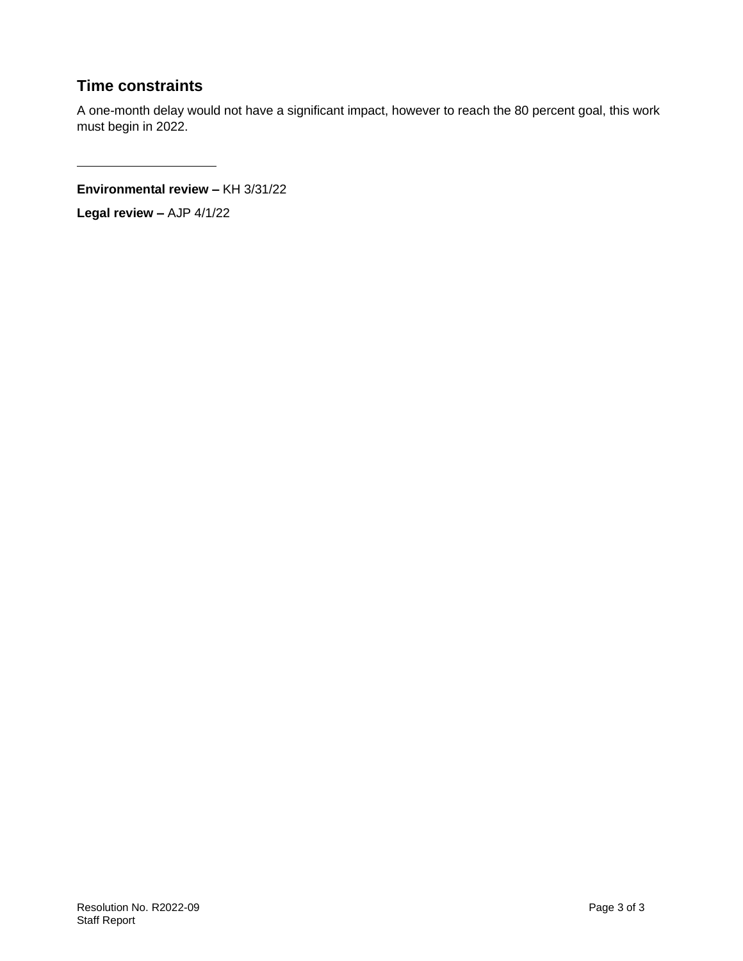## **Time constraints**

A one-month delay would not have a significant impact, however to reach the 80 percent goal, this work must begin in 2022.

**Environmental review –** KH 3/31/22

**Legal review –** AJP 4/1/22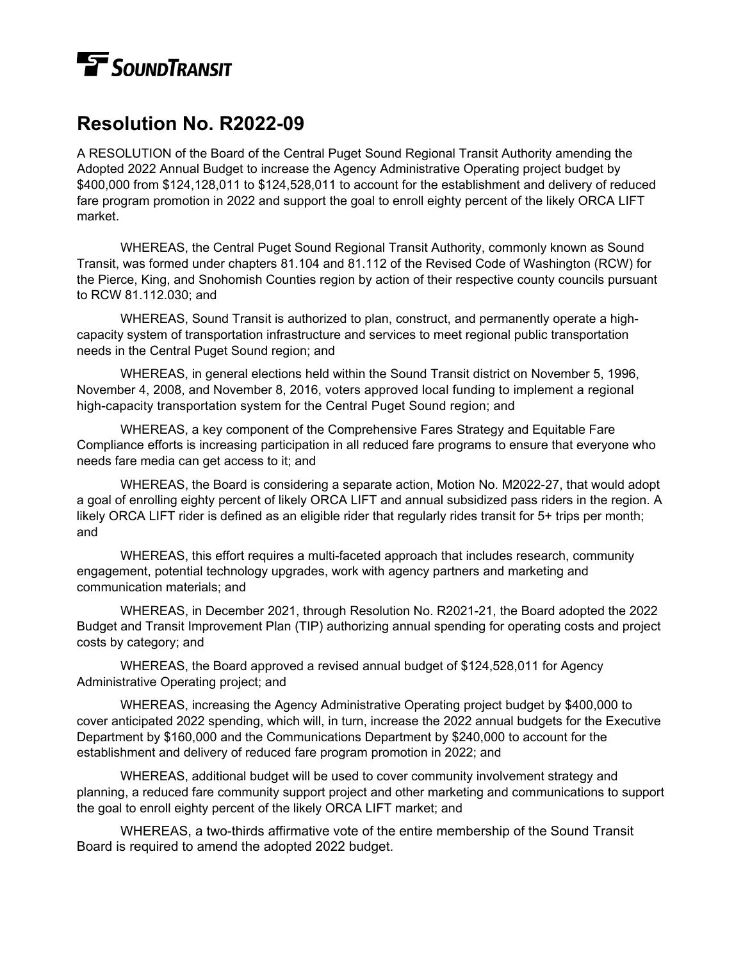# **TE** SOUNDTRANSIT

# **Resolution No. R2022-09**

A RESOLUTION of the Board of the Central Puget Sound Regional Transit Authority amending the Adopted 2022 Annual Budget to increase the Agency Administrative Operating project budget by \$400,000 from \$124,128,011 to \$124,528,011 to account for the establishment and delivery of reduced fare program promotion in 2022 and support the goal to enroll eighty percent of the likely ORCA LIFT market.

WHEREAS, the Central Puget Sound Regional Transit Authority, commonly known as Sound Transit, was formed under chapters 81.104 and 81.112 of the Revised Code of Washington (RCW) for the Pierce, King, and Snohomish Counties region by action of their respective county councils pursuant to RCW 81.112.030; and

WHEREAS, Sound Transit is authorized to plan, construct, and permanently operate a highcapacity system of transportation infrastructure and services to meet regional public transportation needs in the Central Puget Sound region; and

WHEREAS, in general elections held within the Sound Transit district on November 5, 1996, November 4, 2008, and November 8, 2016, voters approved local funding to implement a regional high-capacity transportation system for the Central Puget Sound region; and

WHEREAS, a key component of the Comprehensive Fares Strategy and Equitable Fare Compliance efforts is increasing participation in all reduced fare programs to ensure that everyone who needs fare media can get access to it; and

WHEREAS, the Board is considering a separate action, Motion No. M2022-27, that would adopt a goal of enrolling eighty percent of likely ORCA LIFT and annual subsidized pass riders in the region. A likely ORCA LIFT rider is defined as an eligible rider that regularly rides transit for 5+ trips per month; and

WHEREAS, this effort requires a multi-faceted approach that includes research, community engagement, potential technology upgrades, work with agency partners and marketing and communication materials; and

WHEREAS, in December 2021, through Resolution No. R2021-21, the Board adopted the 2022 Budget and Transit Improvement Plan (TIP) authorizing annual spending for operating costs and project costs by category; and

WHEREAS, the Board approved a revised annual budget of \$124,528,011 for Agency Administrative Operating project; and

WHEREAS, increasing the Agency Administrative Operating project budget by \$400,000 to cover anticipated 2022 spending, which will, in turn, increase the 2022 annual budgets for the Executive Department by \$160,000 and the Communications Department by \$240,000 to account for the establishment and delivery of reduced fare program promotion in 2022; and

WHEREAS, additional budget will be used to cover community involvement strategy and planning, a reduced fare community support project and other marketing and communications to support the goal to enroll eighty percent of the likely ORCA LIFT market; and

WHEREAS, a two-thirds affirmative vote of the entire membership of the Sound Transit Board is required to amend the adopted 2022 budget.